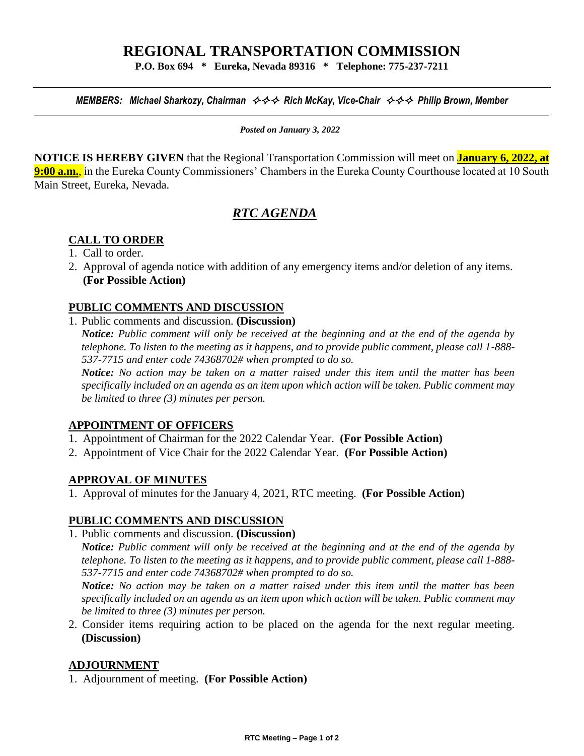# **REGIONAL TRANSPORTATION COMMISSION**

**P.O. Box 694 \* Eureka, Nevada 89316 \* Telephone: 775-237-7211**

*MEMBERS: Michael Sharkozy, Chairman*  $\leftrightarrow \leftrightarrow \leftrightarrow$  *Rich McKay, Vice-Chair*  $\leftrightarrow \leftrightarrow$  *Philip Brown, Member* 

*Posted on January 3, 2022*

**NOTICE IS HEREBY GIVEN** that the Regional Transportation Commission will meet on **January 6, 2022, at 9:00 a.m.**, in the Eureka County Commissioners' Chambers in the Eureka County Courthouse located at 10 South Main Street, Eureka, Nevada.

## *RTC AGENDA*

## **CALL TO ORDER**

- 1. Call to order.
- 2. Approval of agenda notice with addition of any emergency items and/or deletion of any items. **(For Possible Action)**

#### **PUBLIC COMMENTS AND DISCUSSION**

1. Public comments and discussion. **(Discussion)** 

*Notice: Public comment will only be received at the beginning and at the end of the agenda by telephone. To listen to the meeting as it happens, and to provide public comment, please call 1-888- 537-7715 and enter code 74368702# when prompted to do so.*

*Notice: No action may be taken on a matter raised under this item until the matter has been specifically included on an agenda as an item upon which action will be taken. Public comment may be limited to three (3) minutes per person.* 

#### **APPOINTMENT OF OFFICERS**

- 1. Appointment of Chairman for the 2022 Calendar Year. **(For Possible Action)**
- 2. Appointment of Vice Chair for the 2022 Calendar Year. **(For Possible Action)**

#### **APPROVAL OF MINUTES**

1. Approval of minutes for the January 4, 2021, RTC meeting. **(For Possible Action)** 

## **PUBLIC COMMENTS AND DISCUSSION**

1. Public comments and discussion. **(Discussion)** 

*Notice: Public comment will only be received at the beginning and at the end of the agenda by telephone. To listen to the meeting as it happens, and to provide public comment, please call 1-888- 537-7715 and enter code 74368702# when prompted to do so.*

*Notice: No action may be taken on a matter raised under this item until the matter has been specifically included on an agenda as an item upon which action will be taken. Public comment may be limited to three (3) minutes per person.* 

2. Consider items requiring action to be placed on the agenda for the next regular meeting. **(Discussion)**

#### **ADJOURNMENT**

1. Adjournment of meeting. **(For Possible Action)**